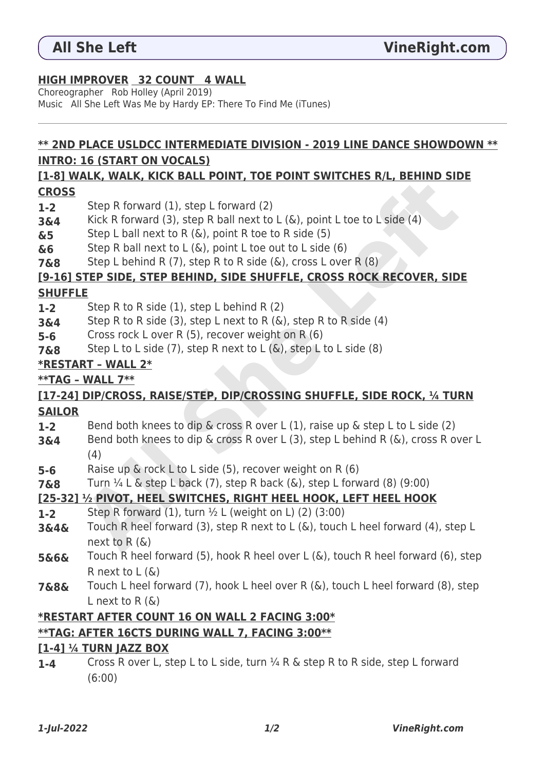## **HIGH IMPROVER 32 COUNT 4 WALL**

Choreographer Rob Holley (April 2019) Music All She Left Was Me by Hardy EP: There To Find Me (iTunes)

# **\*\* 2ND PLACE USLDCC INTERMEDIATE DIVISION - 2019 LINE DANCE SHOWDOWN \*\* INTRO: 16 (START ON VOCALS)**

#### **[1-8] WALK, WALK, KICK BALL POINT, TOE POINT SWITCHES R/L, BEHIND SIDE CROSS**

- **1-2** Step R forward (1), step L forward (2)
- **3&4** Kick R forward (3), step R ball next to L (&), point L toe to L side (4)
- **&5** Step L ball next to R (&), point R toe to R side (5)
- **&6** Step R ball next to L (&), point L toe out to L side (6)
- **7&8** Step L behind R (7), step R to R side (&), cross L over R (8)

## **[9-16] STEP SIDE, STEP BEHIND, SIDE SHUFFLE, CROSS ROCK RECOVER, SIDE**

#### **SHUFFLE**

- **1-2** Step R to R side (1), step L behind R (2)
- **3&4** Step R to R side (3), step L next to R (&), step R to R side (4)
- **5-6** Cross rock L over R (5), recover weight on R (6)
- **7&8** Step L to L side (7), step R next to L (&), step L to L side (8)

#### **\*RESTART – WALL 2\***

# **\*\*TAG – WALL 7\*\***

## **[17-24] DIP/CROSS, RAISE/STEP, DIP/CROSSING SHUFFLE, SIDE ROCK, ¼ TURN SAILOR**

- **1-2** Bend both knees to dip & cross R over L (1), raise up & step L to L side (2)
- **3&4** Bend both knees to dip & cross R over L (3), step L behind R (&), cross R over L (4) **ALL Solution** (3), step R ball next to L (&), point L to to L side (4)<br>
Step R forward (3), step R ball next to L (&), point L toe to L side (4)<br>
Step L ball next to L (&), point R toe to R side (5)<br>
Step L bahind R (7),
- **5-6** Raise up & rock L to L side (5), recover weight on R (6)
- **7&8** Turn  $\frac{1}{4}$  L & step L back (7), step R back (&), step L forward (8) (9:00)

# **[25-32] ½ PIVOT, HEEL SWITCHES, RIGHT HEEL HOOK, LEFT HEEL HOOK**

- **1-2** Step R forward (1), turn ½ L (weight on L) (2) (3:00)
- **3&4&** Touch R heel forward (3), step R next to L (&), touch L heel forward (4), step L next to R (&)
- **5&6&** Touch R heel forward (5), hook R heel over L (&), touch R heel forward (6), step R next to  $L(\&)$
- **7&8&** Touch L heel forward (7), hook L heel over R (&), touch L heel forward (8), step L next to R $($ & $)$

# **\*RESTART AFTER COUNT 16 ON WALL 2 FACING 3:00\***

# **\*\*TAG: AFTER 16CTS DURING WALL 7, FACING 3:00\*\***

#### **[1-4] ¼ TURN JAZZ BOX**

**1-4** Cross R over L, step L to L side, turn ¼ R & step R to R side, step L forward (6:00)